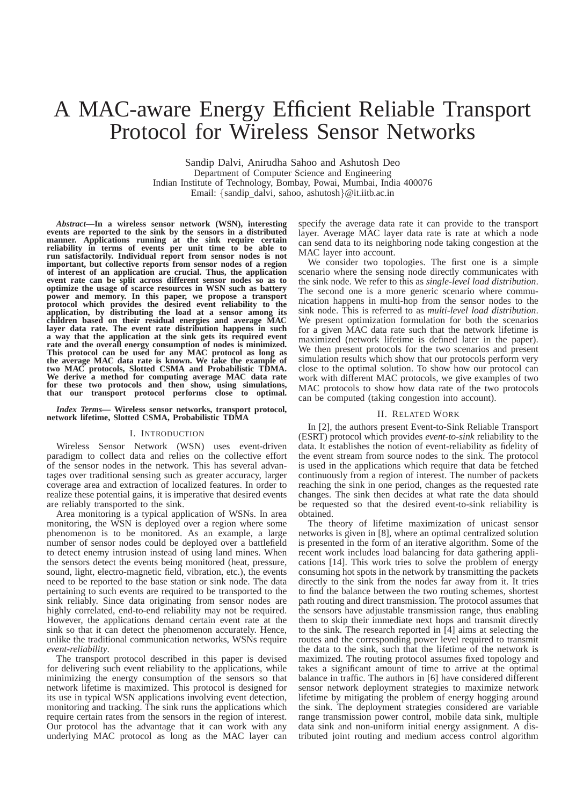# A MAC-aware Energy Efficient Reliable Transport Protocol for Wireless Sensor Networks

Sandip Dalvi, Anirudha Sahoo and Ashutosh Deo Department of Computer Science and Engineering Indian Institute of Technology, Bombay, Powai, Mumbai, India 400076 Email: {sandip dalvi, sahoo, ashutosh}@it.iitb.ac.in

*Abstract***—In a wireless sensor network (WSN), interesting events are reported to the sink by the sensors in a distributed manner. Applications running at the sink require certain reliability in terms of events per unit time to be able to run satisfactorily. Individual report from sensor nodes is not important, but collective reports from sensor nodes of a region of interest of an application are crucial. Thus, the application event rate can be split across different sensor nodes so as to optimize the usage of scarce resources in WSN such as battery power and memory. In this paper, we propose a transport protocol which provides the desired event reliability to the application, by distributing the load at a sensor among its children based on their residual energies and average MAC layer data rate. The event rate distribution happens in such a way that the application at the sink gets its required event rate and the overall energy consumption of nodes is minimized. This protocol can be used for any MAC protocol as long as the average MAC data rate is known. We take the example of two MAC protocols, Slotted CSMA and Probabilistic TDMA. We derive a method for computing average MAC data rate for these two protocols and then show, using simulations, that our transport protocol performs close to optimal.**

#### *Index Terms—* **Wireless sensor networks, transport protocol, network lifetime, Slotted CSMA, Probabilistic TDMA**

# I. INTRODUCTION

Wireless Sensor Network (WSN) uses event-driven paradigm to collect data and relies on the collective effort of the sensor nodes in the network. This has several advantages over traditional sensing such as greater accuracy, larger coverage area and extraction of localized features. In order to realize these potential gains, it is imperative that desired events are reliably transported to the sink.

Area monitoring is a typical application of WSNs. In area monitoring, the WSN is deployed over a region where some phenomenon is to be monitored. As an example, a large number of sensor nodes could be deployed over a battlefield to detect enemy intrusion instead of using land mines. When the sensors detect the events being monitored (heat, pressure, sound, light, electro-magnetic field, vibration, etc.), the events need to be reported to the base station or sink node. The data pertaining to such events are required to be transported to the sink reliably. Since data originating from sensor nodes are highly correlated, end-to-end reliability may not be required. However, the applications demand certain event rate at the sink so that it can detect the phenomenon accurately. Hence, unlike the traditional communication networks, WSNs require *event-reliability*.

The transport protocol described in this paper is devised for delivering such event reliability to the applications, while minimizing the energy consumption of the sensors so that network lifetime is maximized. This protocol is designed for its use in typical WSN applications involving event detection, monitoring and tracking. The sink runs the applications which require certain rates from the sensors in the region of interest. Our protocol has the advantage that it can work with any underlying MAC protocol as long as the MAC layer can specify the average data rate it can provide to the transport layer. Average MAC layer data rate is rate at which a node can send data to its neighboring node taking congestion at the MAC layer into account.

We consider two topologies. The first one is a simple scenario where the sensing node directly communicates with the sink node. We refer to this as *single-level load distribution*. The second one is a more generic scenario where communication happens in multi-hop from the sensor nodes to the sink node. This is referred to as *multi-level load distribution*. We present optimization formulation for both the scenarios for a given MAC data rate such that the network lifetime is maximized (network lifetime is defined later in the paper). We then present protocols for the two scenarios and present simulation results which show that our protocols perform very close to the optimal solution. To show how our protocol can work with different MAC protocols, we give examples of two MAC protocols to show how data rate of the two protocols can be computed (taking congestion into account).

#### II. RELATED WORK

In [2], the authors present Event-to-Sink Reliable Transport (ESRT) protocol which provides *event-to-sink* reliability to the data. It establishes the notion of event-reliability as fidelity of the event stream from source nodes to the sink. The protocol is used in the applications which require that data be fetched continuously from a region of interest. The number of packets reaching the sink in one period, changes as the requested rate changes. The sink then decides at what rate the data should be requested so that the desired event-to-sink reliability is obtained.

The theory of lifetime maximization of unicast sensor networks is given in [8], where an optimal centralized solution is presented in the form of an iterative algorithm. Some of the recent work includes load balancing for data gathering applications [14]. This work tries to solve the problem of energy consuming hot spots in the network by transmitting the packets directly to the sink from the nodes far away from it. It tries to find the balance between the two routing schemes, shortest path routing and direct transmission. The protocol assumes that the sensors have adjustable transmission range, thus enabling them to skip their immediate next hops and transmit directly to the sink. The research reported in [4] aims at selecting the routes and the corresponding power level required to transmit the data to the sink, such that the lifetime of the network is maximized. The routing protocol assumes fixed topology and takes a significant amount of time to arrive at the optimal balance in traffic. The authors in [6] have considered different sensor network deployment strategies to maximize network lifetime by mitigating the problem of energy hogging around the sink. The deployment strategies considered are variable range transmission power control, mobile data sink, multiple data sink and non-uniform initial energy assignment. A distributed joint routing and medium access control algorithm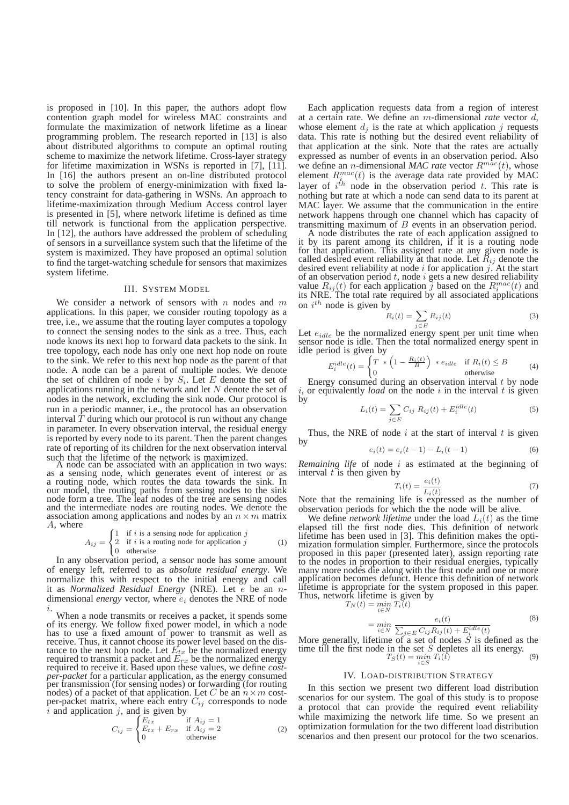is proposed in [10]. In this paper, the authors adopt flow contention graph model for wireless MAC constraints and formulate the maximization of network lifetime as a linear programming problem. The research reported in [13] is also about distributed algorithms to compute an optimal routing scheme to maximize the network lifetime. Cross-layer strategy for lifetime maximization in WSNs is reported in [7], [11]. In [16] the authors present an on-line distributed protocol to solve the problem of energy-minimization with fixed latency constraint for data-gathering in WSNs. An approach to lifetime-maximization through Medium Access control layer is presented in [5], where network lifetime is defined as time till network is functional from the application perspective. In [12], the authors have addressed the problem of scheduling of sensors in a surveillance system such that the lifetime of the system is maximized. They have proposed an optimal solution to find the target-watching schedule for sensors that maximizes system lifetime.

## III. SYSTEM MODEL

We consider a network of sensors with n nodes and  $m$ applications. In this paper, we consider routing topology as a tree, i.e., we assume that the routing layer computes a topology to connect the sensing nodes to the sink as a tree. Thus, each node knows its next hop to forward data packets to the sink. In tree topology, each node has only one next hop node on route to the sink. We refer to this next hop node as the parent of that node. A node can be a parent of multiple nodes. We denote the set of children of node i by  $S_i$ . Let E denote the set of applications running in the network and let  $N$  denote the set of nodes in the network, excluding the sink node. Our protocol is run in a periodic manner, i.e., the protocol has an observation interval  $T$  during which our protocol is run without any change in parameter. In every observation interval, the residual energy is reported by every node to its parent. Then the parent changes rate of reporting of its children for the next observation interval such that the lifetime of the network is maximized.

A node can be associated with an application in two ways: as a sensing node, which generates event of interest or as a routing node, which routes the data towards the sink. In our model, the routing paths from sensing nodes to the sink node form a tree. The leaf nodes of the tree are sensing nodes and the intermediate nodes are routing nodes. We denote the association among applications and nodes by an  $n \times m$  matrix A, where

$$
A_{ij} = \begin{cases} 1 & \text{if } i \text{ is a sensing node for application } j \\ 2 & \text{if } i \text{ is a routing node for application } j \\ 0 & \text{otherwise} \end{cases}
$$
 (1)

: In any observation period, a sensor node has some amount of energy left, referred to as *absolute residual energy*. We normalize this with respect to the initial energy and call it as *Normalized Residual Energy* (NRE). Let *e* be an *n*dimensional *energy* vector, where  $e_i$  denotes the NRE of node i.

When a node transmits or receives a packet, it spends some of its energy. We follow fixed power model, in which a node has to use a fixed amount of power to transmit as well as receive. Thus, it cannot choose its power level based on the distance to the next hop node. Let  $E_{tx}$  be the normalized energy required to transmit a packet and  $E_{rx}$ required to receive it. Based upon these values, we define *costper-packet* for a particular application, as the energy consumed per transmission (for sensing nodes) or forwarding (for routing nodes) of a packet of that application. Let C be an  $n \times m$  costper-packet matrix, where each entry  $C_{ij}$  corresponds to node  $\overline{i}$  and application  $\overline{j}$ , and is given by

$$
C_{ij} = \begin{cases} E_{tx} & \text{if } A_{ij} = 1\\ E_{tx} + E_{rx} & \text{if } A_{ij} = 2\\ 0 & \text{otherwise} \end{cases}
$$
 (2)

Each application requests data from a region of interest at a certain rate. We define an m-dimensional *rate* vector d, whose element  $d_j$  is the rate at which application j requests data. This rate is nothing but the desired event reliability of that application at the sink. Note that the rates are actually expressed as number of events in an observation period. Also we define an *n*-dimensional *MAC rate* vector  $R^{mac}(t)$ , whose element  $R_{i}^{mac}(t)$  is the average data rate provided by MAC layer of  $i^{th}$  node in the observation period t. This rate is nothing but rate at which a node can send data to its parent at MAC layer. We assume that the communication in the entire network happens through one channel which has capacity of transmitting maximum of B events in an observation period.

A node distributes the rate of each application assigned to it by its parent among its children, if it is a routing node for that application. This assigned rate at any given node is called desired event reliability at that node. Let  $\tilde{R}_{ij}$  denote the desired event reliability at node  $i$  for application  $j$ . At the start of an observation period t, node i gets a new desired reliability value  $R_{ij}(t)$  for each application j based on the  $R_i^{mac}(t)$  and its NRE. The total rate required by all associated applications on  $i^{th}$  node is given by

$$
R_i(t) = \sum_{j \in E} R_{ij}(t) \tag{3}
$$

Let  $e_{idle}$  be the normalized energy spent per unit time when sensor node is idle. Then the total normalized energy spent in idle period is given by

$$
E_i^{idle}(t) = \begin{cases} T \ast \left(1 - \frac{R_i(t)}{B}\right) \ast e_{idle} & \text{if } R_i(t) \le B\\ 0 & \text{otherwise} \end{cases}
$$
(4)

Energy consumed during an observation interval  $t$  by node  $i$ , or equivalently *load* on the node  $i$  in the interval  $t$  is given by

$$
L_i(t) = \sum_{j \in E} C_{ij} R_{ij}(t) + E_i^{idle}(t)
$$
 (5)

Thus, the NRE of node  $i$  at the start of interval  $t$  is given by

$$
e_i(t) = e_i(t-1) - L_i(t-1)
$$
\n(6)

*Remaining life* of node i as estimated at the beginning of interval  $t$  is then given by

$$
T_i(t) = \frac{e_i(t)}{L_i(t)}\tag{7}
$$

Note that the remaining life is expressed as the number of observation periods for which the the node will be alive.

We define *network lifetime* under the load  $L_i(t)$  as the time elapsed till the first node dies. This definition of network lifetime has been used in [3]. This definition makes the optimization formulation simpler. Furthermore, since the protocols proposed in this paper (presented later), assign reporting rate to the nodes in proportion to their residual energies, typically many more nodes die along with the first node and one or more application becomes defunct. Hence this definition of network lifetime is appropriate for the system proposed in this paper. Thus, network lifetime is given by  $T_N(t)$ 

$$
t) = \min_{i \in N} T_i(t)
$$
  
= 
$$
\min_{i \in N} \frac{e_i(t)}{\sum_{i \in F} C_{ij} R_{ij}(t) + E^{idle}(t)}
$$
 (8)

 $\sum_{j\in E} C_{ij} R_{ij}(t) + E_i^{idle}(t)$ More generally, lifetime of a set of nodes  $S$  is defined as the time till the first node in the set  $S$  depletes all its energy.  $T_S(t) = \min_{i \in S} T_i(t)$  (9)

### IV. LOAD-DISTRIBUTION STRATEGY

In this section we present two different load distribution scenarios for our system. The goal of this study is to propose a protocol that can provide the required event reliability while maximizing the network life time. So we present an optimization formulation for the two different load distribution scenarios and then present our protocol for the two scenarios.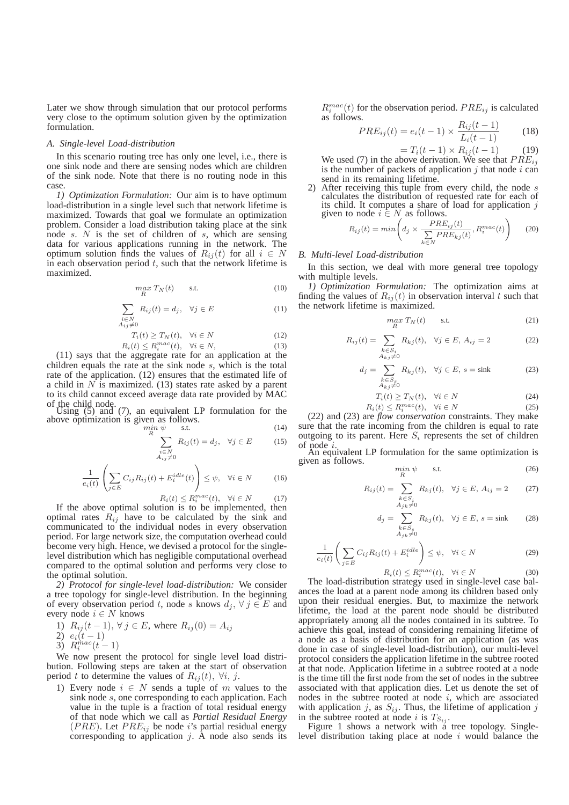Later we show through simulation that our protocol performs very close to the optimum solution given by the optimization formulation.

## *A. Single-level Load-distribution*

In this scenario routing tree has only one level, i.e., there is one sink node and there are sensing nodes which are children of the sink node. Note that there is no routing node in this case.

*1) Optimization Formulation:* Our aim is to have optimum load-distribution in a single level such that network lifetime is maximized. Towards that goal we formulate an optimization problem. Consider a load distribution taking place at the sink node s.  $N$  is the set of children of  $s$ , which are sensing data for various applications running in the network. The optimum solution finds the values of  $R_{ij}(t)$  for all  $i \in N$ in each observation period  $t$ , such that the network lifetime is maximized.

$$
\max_{R} T_N(t) \qquad \text{s.t.} \tag{10}
$$

$$
\sum_{i \in N} R_{ij}(t) = d_j, \quad \forall j \in E \tag{11}
$$

$$
A_{ij} \in \mathbb{R}^{\infty}
$$
  
\n
$$
T \cdot (t) > T_{\mathcal{F}}(t) \quad \forall i \in \mathbb{N}
$$
 (12)

$$
R_i(t) \le R_i^{mac}(t), \quad \forall t \in N,
$$
\n
$$
R_i(t) \le R_i^{mac}(t), \quad \forall i \in N,
$$
\n
$$
(13)
$$

(11) says that the aggregate rate for an application at the children equals the rate at the sink node s, which is the total rate of the application. (12) ensures that the estimated life of a child in  $N$  is maximized. (13) states rate asked by a parent to its child cannot exceed average data rate provided by MAC of the child node. Using (5) and (7), an equivalent LP formulation for the

above optimization is given as follows. min R

$$
i \psi \quad \text{s.t.} \quad (14)
$$
  

$$
\sum_{\substack{i \in N \\ A_{ij} \neq 0}} R_{ij}(t) = d_j, \quad \forall j \in E \quad (15)
$$

$$
\frac{1}{e_i(t)} \left( \sum_{j \in E} C_{ij} R_{ij}(t) + E_i^{idle}(t) \right) \le \psi, \quad \forall i \in N \tag{16}
$$

$$
R_i(t) \le R_i^{mac}(t), \quad \forall i \in N \tag{17}
$$

If the above optimal solution is to be implemented, then optimal rates  $R_{ij}$  have to be calculated by the sink and communicated to the individual nodes in every observation period. For large network size, the computation overhead could become very high. Hence, we devised a protocol for the singlelevel distribution which has negligible computational overhead compared to the optimal solution and performs very close to the optimal solution.

*2) Protocol for single-level load-distribution:* We consider a tree topology for single-level distribution. In the beginning of every observation period t, node s knows  $d_i$ ,  $\forall j \in E$  and every node  $i \in N$  knows

- 1)  $R_{ij}(t-1), \forall j \in E$ , where  $R_{ij}(0) = A_{ij}$
- 2)  $e_i(t-1)$
- 3)  $\hat{R}_i^{mac}(t-1)$

We now present the protocol for single level load distribution. Following steps are taken at the start of observation period t to determine the values of  $R_{ij}(t)$ ,  $\forall i, j$ .

1) Every node  $i \in N$  sends a tuple of m values to the sink node s, one corresponding to each application. Each value in the tuple is a fraction of total residual energy of that node which we call as *Partial Residual Energy* (PRE). Let  $PRE_{ij}$  be node i's partial residual energy corresponding to application  $j$ . A node also sends its

 $R_i^{mac}(t)$  for the observation period.  $PRE_{ij}$  is calculated as follows.  $D_{\perp}/t = 1$ 

$$
PRE_{ij}(t) = e_i(t-1) \times \frac{n_{ij}(t-1)}{L_i(t-1)}
$$
(18)

$$
= T_i(t-1) \times R_{ij}(t-1)
$$
 (19)  
in the above derivation. We see that  $PRE_{i}$ .

We used (7) in the above derivation. We see that  $PRE_{ij}$ is the number of packets of application  $j$  that node  $i$  can send in its remaining lifetime.

2) After receiving this tuple from every child, the node  $s$ calculates the distribution of requested rate for each of its child. It computes a share of load for application  $j$ given to node  $i \in N$  as follows.

$$
R_{ij}(t) = min\left(d_j \times \frac{PRE_{ij}(t)}{\sum\limits_{k \in N} PRE_{kj}(t)}, R_i^{mac}(t)\right) \tag{20}
$$

## *B. Multi-level Load-distribution*

In this section, we deal with more general tree topology with multiple levels.

*1) Optimization Formulation:* The optimization aims at finding the values of  $R_{ij}(t)$  in observation interval t such that the network lifetime is maximized.

$$
\max_{R} T_N(t) \qquad \text{s.t.} \tag{21}
$$

$$
R_{ij}(t) = \sum_{\substack{k \in S_i \\ A_{kj} \neq 0}} R_{kj}(t), \quad \forall j \in E, A_{ij} = 2 \tag{22}
$$

$$
d_j = \sum_{k \in S_s} R_{kj}(t), \quad \forall j \in E, \, s = \text{sink} \tag{23}
$$

$$
A_{kj} \neq 0
$$
  
\n
$$
T_i(t) \geq T_N(t), \quad \forall i \in N
$$
\n(24)

$$
R_i(t) \le R_i^{mac}(t), \quad \forall i \in N \tag{25}
$$

(22) and (23) are *flow conservation* constraints. They make sure that the rate incoming from the children is equal to rate outgoing to its parent. Here  $S_i$  represents the set of children of node i.

An equivalent LP formulation for the same optimization is given as follows.

$$
\min_{R} \psi \qquad \text{s.t.} \tag{26}
$$

$$
R_{ij}(t) = \sum_{\substack{k \in S_i \\ A_{jk} \neq 0}} R_{kj}(t), \quad \forall j \in E, A_{ij} = 2 \tag{27}
$$

$$
d_j = \sum_{\substack{k \in S_s \\ A_{ik} \neq 0}} R_{kj}(t), \quad \forall j \in E, \ s = \text{sink}
$$
 (28)

$$
\frac{1}{e_i(t)} \left( \sum_{j \in E} C_{ij} R_{ij}(t) + E_i^{idle} \right) \le \psi, \quad \forall i \in N
$$
\n(29)

$$
R_i(t) \le R_i^{mac}(t), \quad \forall i \in N \tag{30}
$$

The load-distribution strategy used in single-level case balances the load at a parent node among its children based only upon their residual energies. But, to maximize the network lifetime, the load at the parent node should be distributed appropriately among all the nodes contained in its subtree. To achieve this goal, instead of considering remaining lifetime of a node as a basis of distribution for an application (as was done in case of single-level load-distribution), our multi-level protocol considers the application lifetime in the subtree rooted at that node. Application lifetime in a subtree rooted at a node is the time till the first node from the set of nodes in the subtree associated with that application dies. Let us denote the set of nodes in the subtree rooted at node  $i$ , which are associated with application j, as  $S_{ij}$ . Thus, the lifetime of application j in the subtree rooted at node i is  $T_{S_{ij}}$ .

Figure 1 shows a network with a tree topology. Singlelevel distribution taking place at node  $i$  would balance the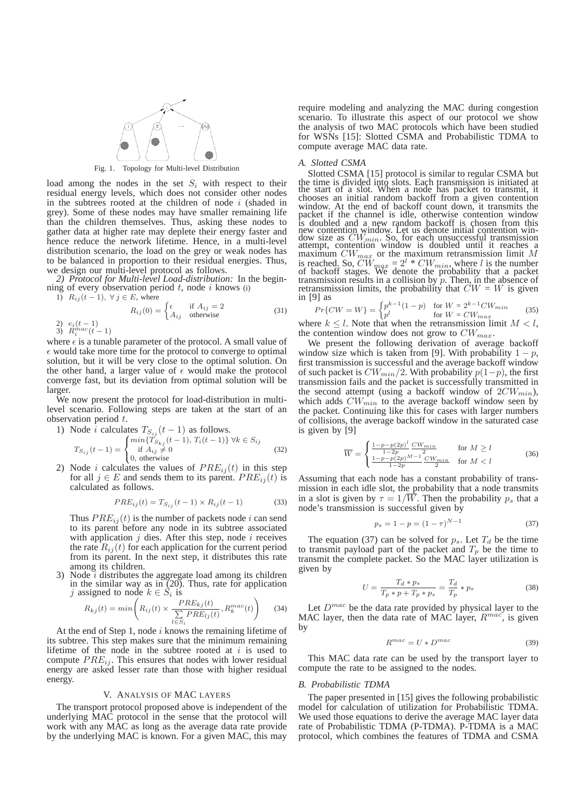

Fig. 1. Topology for Multi-level Distribution

load among the nodes in the set  $S_i$  with respect to their residual energy levels, which does not consider other nodes in the subtrees rooted at the children of node  $i$  (shaded in grey). Some of these nodes may have smaller remaining life than the children themselves. Thus, asking these nodes to gather data at higher rate may deplete their energy faster and hence reduce the network lifetime. Hence, in a multi-level distribution scenario, the load on the grey or weak nodes has to be balanced in proportion to their residual energies. Thus, we design our multi-level protocol as follows.

*2) Protocol for Multi-level Load-distribution:* In the beginning of every observation period  $t$ , node  $i$  knows (i)

1)  $R_{ij} (t-1)$ ,  $\forall j \in E$ , where

$$
R_{ij}(0) = \begin{cases} \epsilon & \text{if } A_{ij} = 2\\ A_{ij} & \text{otherwise} \end{cases}
$$
 (31)

2)  $e_i(t-1)$ <br>3)  $R_i^{mac}(t-1)$ 

where  $\epsilon$  is a tunable parameter of the protocol. A small value of  $\epsilon$  would take more time for the protocol to converge to optimal solution, but it will be very close to the optimal solution. On the other hand, a larger value of  $\epsilon$  would make the protocol converge fast, but its deviation from optimal solution will be larger.

We now present the protocol for load-distribution in multilevel scenario. Following steps are taken at the start of an observation period t.

1) Node *i* calculates 
$$
T_{S_{ij}}(t-1)
$$
 as follows.  $T_{S_{ij}}(t-1) = \begin{cases} min\{T_{S_{kj}}(t-1), T_i(t-1)\} \,\forall k \in S_{ij} \\ \text{if } A_{ij} \neq 0 \\ 0, \text{ otherwise} \end{cases}$  (32)

2) Node *i* calculates the values of  $PRE_{ij}(t)$  in this step for all  $j \in E$  and sends them to its parent.  $PRE_{ij}(t)$  is calculated as follows.

$$
PRE_{ij}(t) = T_{S_{ij}}(t-1) \times R_{ij}(t-1)
$$
 (33)

Thus  $PRE_{ij}(t)$  is the number of packets node i can send to its parent before any node in its subtree associated with application  $j$  dies. After this step, node  $i$  receives the rate  $R_{ij}(t)$  for each application for the current period from its parent. In the next step, it distributes this rate among its children.

3) Node  $\overline{i}$  distributes the aggregate load among its children in the similar way as in  $(20)$ . Thus, rate for application j assigned to node  $k \in S_i$  is

$$
R_{kj}(t) = min\left(R_{ij}(t) \times \frac{PRE_{kj}(t)}{\sum_{l \in S_i} PRE_{lj}(t)}, R_k^{mac}(t)\right) \tag{34}
$$

At the end of Step 1, node  $i$  knows the remaining lifetime of its subtree. This step makes sure that the minimum remaining lifetime of the node in the subtree rooted at  $i$  is used to compute  $PRE_{ij}$ . This ensures that nodes with lower residual energy are asked lesser rate than those with higher residual energy.

## V. ANALYSIS OF MAC LAYERS

The transport protocol proposed above is independent of the underlying MAC protocol in the sense that the protocol will work with any MAC as long as the average data rate provide by the underlying MAC is known. For a given MAC, this may require modeling and analyzing the MAC during congestion scenario. To illustrate this aspect of our protocol we show the analysis of two MAC protocols which have been studied for WSNs [15]: Slotted CSMA and Probabilistic TDMA to compute average MAC data rate.

## *A. Slotted CSMA*

Slotted CSMA [15] protocol is similar to regular CSMA but the time is divided into slots. Each transmission is initiated at the start of a slot. When a node has packet to transmit, it chooses an initial random backoff from a given contention window. At the end of backoff count down, it transmits the packet if the channel is idle, otherwise contention window is doubled and a new random backoff is chosen from this<br>new contention window. Let us denote initial contention win-<br>dow size as  $CW_{min}$ . So, for each unsuccessful transmission<br>attempt, contention window is doubled until i maximum  $CW_{max}$  or the maximum retransmission limit M is reached. So,  $\widetilde{CW}_{max} = 2^l * CW_{min}$ , where l is the number of backoff stages. We denote the probability that a packet transmission results in a collision by  $p$ . Then, in the absence of retransmission limits, the probability that  $CW = W$  is given in [9] as

$$
Pr\{CW = W\} = \begin{cases} p^{k-1}(1-p) & \text{for } W = 2^{k-1}CW_{min} \\ p^l & \text{for } W = CW_{max} \end{cases}
$$
 (35)

where  $k \leq l$ . Note that when the retransmission limit  $M < l$ , the contention window does not grow to  $CW_{max}$ .

We present the following derivation of average backoff window size which is taken from [9]. With probability  $1 - p$ , first transmission is successful and the average backoff window of such packet is  $CW_{min}/2$ . With probability  $p(1-p)$ , the first transmission fails and the packet is successfully transmitted in the second attempt (using a backoff window of  $2CW_{min}$ ), which adds  $CW_{min}$  to the average backoff window seen by the packet. Continuing like this for cases with larger numbers of collisions, the average backoff window in the saturated case is given by [9]

$$
\overline{W} = \begin{cases}\n\frac{1 - p - p(2p)^l}{1 - 2p} \frac{C W_{min}}{2} & \text{for } M \ge l \\
\frac{1 - p - p(2p)^{M - 1}}{1 - 2p} \frac{C W_{min}}{2} & \text{for } M < l\n\end{cases} \tag{36}
$$

Assuming that each node has a constant probability of transmission in each idle slot, the probability that a node transmits in a slot is given by  $\tau = 1/W$ . Then the probability  $p_s$  that a node's transmission is successful given by

$$
p_s = 1 - p = (1 - \tau)^{N - 1} \tag{37}
$$

The equation (37) can be solved for  $p_s$ . Let  $T_d$  be the time to transmit payload part of the packet and  $T_p$  be the time to transmit the complete packet. So the MAC layer utilization is given by

$$
U = \frac{T_d * p_s}{T_p * p + T_p * p_s} = \frac{T_d}{T_p} * p_s
$$
 (38)

Let  $D^{mac}$  be the data rate provided by physical layer to the MAC layer, then the data rate of MAC layer,  $R^{mac}$ , is given by

$$
R^{mac} = U * D^{mac} \tag{39}
$$

This MAC data rate can be used by the transport layer to compute the rate to be assigned to the nodes.

#### *B. Probabilistic TDMA*

The paper presented in [15] gives the following probabilistic model for calculation of utilization for Probabilistic TDMA. We used those equations to derive the average MAC layer data rate of Probabilistic TDMA (P-TDMA). P-TDMA is a MAC protocol, which combines the features of TDMA and CSMA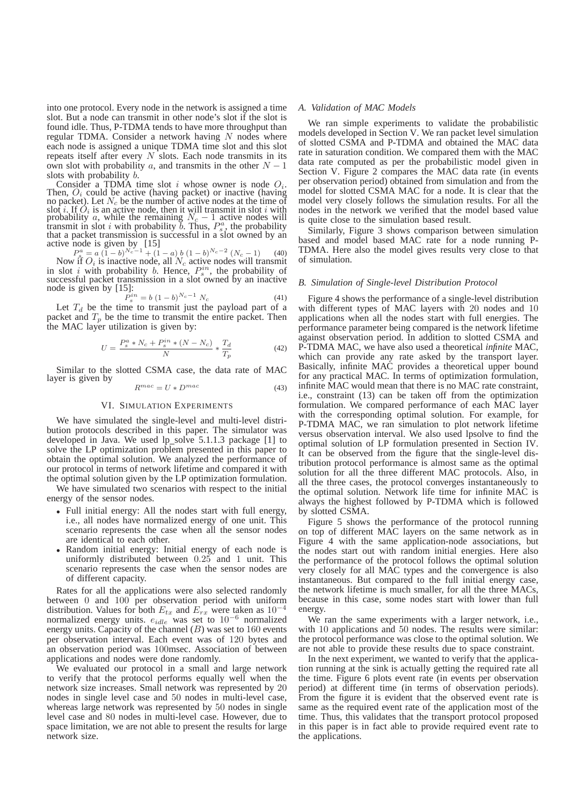into one protocol. Every node in the network is assigned a time slot. But a node can transmit in other node's slot if the slot is found idle. Thus, P-TDMA tends to have more throughput than regular TDMA. Consider a network having  $N$  nodes where each node is assigned a unique TDMA time slot and this slot repeats itself after every  $N$  slots. Each node transmits in its own slot with probability a, and transmits in the other  $N - 1$ slots with probability b.

Consider a TDMA time slot i whose owner is node  $O_i$ . Then,  $O_i$  could be active (having packet) or inactive (having no packet). Let  $N_c$  be the number of active nodes at the time of slot *i*. If  $O_i$  is an active node, then it will transmit in slot *i* with probability a, while the remaining  $N_c - 1$  active nodes will transmit in slot i with probability  $\tilde{b}$ . Thus,  $P_s^a$ , the probability that a packet transmission is successful in a slot owned by an active node is given by [15]

 $P_s^a = a(\overline{1-b})^{N_c-1} + (1-a) b (1-b)^{N_c-2} (N_c-1)$  (40)<br>Now if  $O_i$  is inactive node, all  $N_c$  active nodes will transmit in slot *i* with probability *b*. Hence,  $P_s^{in}$ , the probability of  $s$  successful packet transmission in a slot owned by an inactive node is given by [15]:

$$
\tilde{P_s^{in}} = b (1 - b)^{N_c - 1} N_c \tag{41}
$$

Let  $T_d$  be the time to transmit just the payload part of a packet and  $T_p$  be the time to transmit the entire packet. Then the MAC layer utilization is given by:

$$
U = \frac{P_s^a * N_c + P_s^{in} * (N - N_c)}{N} * \frac{T_d}{T_p}
$$
(42)

Similar to the slotted CSMA case, the data rate of MAC layer is given by

$$
R^{mac} = U * D^{mac} \tag{43}
$$

# VI. SIMULATION EXPERIMENTS

We have simulated the single-level and multi-level distribution protocols described in this paper. The simulator was developed in Java. We used lp\_solve 5.1.1.3 package [1] to solve the LP optimization problem presented in this paper to obtain the optimal solution. We analyzed the performance of our protocol in terms of network lifetime and compared it with the optimal solution given by the LP optimization formulation.

We have simulated two scenarios with respect to the initial energy of the sensor nodes.

- Full initial energy: All the nodes start with full energy, i.e., all nodes have normalized energy of one unit. This scenario represents the case when all the sensor nodes are identical to each other.
- Random initial energy: Initial energy of each node is uniformly distributed between 0.25 and 1 unit. This scenario represents the case when the sensor nodes are of different capacity.

Rates for all the applications were also selected randomly between 0 and 100 per observation period with uniform distribution. Values for both  $E_{tx}$  and  $E_{rx}$  were taken as 10<sup>-4</sup> normalized energy units.  $e_{idle}$  was set to  $10^{-6}$  normalized energy units. Capacity of the channel  $(B)$  was set to 160 events per observation interval. Each event was of 120 bytes and an observation period was 100msec. Association of between applications and nodes were done randomly.

We evaluated our protocol in a small and large network to verify that the protocol performs equally well when the network size increases. Small network was represented by 20 nodes in single level case and 50 nodes in multi-level case, whereas large network was represented by 50 nodes in single level case and 80 nodes in multi-level case. However, due to space limitation, we are not able to present the results for large network size.

# *A. Validation of MAC Models*

We ran simple experiments to validate the probabilistic models developed in Section V. We ran packet level simulation of slotted CSMA and P-TDMA and obtained the MAC data rate in saturation condition. We compared them with the MAC data rate computed as per the probabilistic model given in Section V. Figure 2 compares the MAC data rate (in events per observation period) obtained from simulation and from the model for slotted CSMA MAC for a node. It is clear that the model very closely follows the simulation results. For all the nodes in the network we verified that the model based value is quite close to the simulation based result.

Similarly, Figure 3 shows comparison between simulation based and model based MAC rate for a node running P-TDMA. Here also the model gives results very close to that of simulation.

### *B. Simulation of Single-level Distribution Protocol*

Figure 4 shows the performance of a single-level distribution with different types of MAC layers with 20 nodes and 10 applications when all the nodes start with full energies. The performance parameter being compared is the network lifetime against observation period. In addition to slotted CSMA and P-TDMA MAC, we have also used a theoretical *infinite* MAC, which can provide any rate asked by the transport layer. Basically, infinite MAC provides a theoretical upper bound for any practical MAC. In terms of optimization formulation, infinite MAC would mean that there is no MAC rate constraint, i.e., constraint (13) can be taken off from the optimization formulation. We compared performance of each MAC layer with the corresponding optimal solution. For example, for P-TDMA MAC, we ran simulation to plot network lifetime versus observation interval. We also used lpsolve to find the optimal solution of LP formulation presented in Section IV. It can be observed from the figure that the single-level distribution protocol performance is almost same as the optimal solution for all the three different MAC protocols. Also, in all the three cases, the protocol converges instantaneously to the optimal solution. Network life time for infinite MAC is always the highest followed by P-TDMA which is followed by slotted CSMA.

Figure 5 shows the performance of the protocol running on top of different MAC layers on the same network as in Figure 4 with the same application-node associations, but the nodes start out with random initial energies. Here also the performance of the protocol follows the optimal solution very closely for all MAC types and the convergence is also instantaneous. But compared to the full initial energy case, the network lifetime is much smaller, for all the three MACs, because in this case, some nodes start with lower than full energy.

We ran the same experiments with a larger network, i.e., with 10 applications and 50 nodes. The results were similar: the protocol performance was close to the optimal solution. We are not able to provide these results due to space constraint.

In the next experiment, we wanted to verify that the application running at the sink is actually getting the required rate all the time. Figure 6 plots event rate (in events per observation period) at different time (in terms of observation periods). From the figure it is evident that the observed event rate is same as the required event rate of the application most of the time. Thus, this validates that the transport protocol proposed in this paper is in fact able to provide required event rate to the applications.